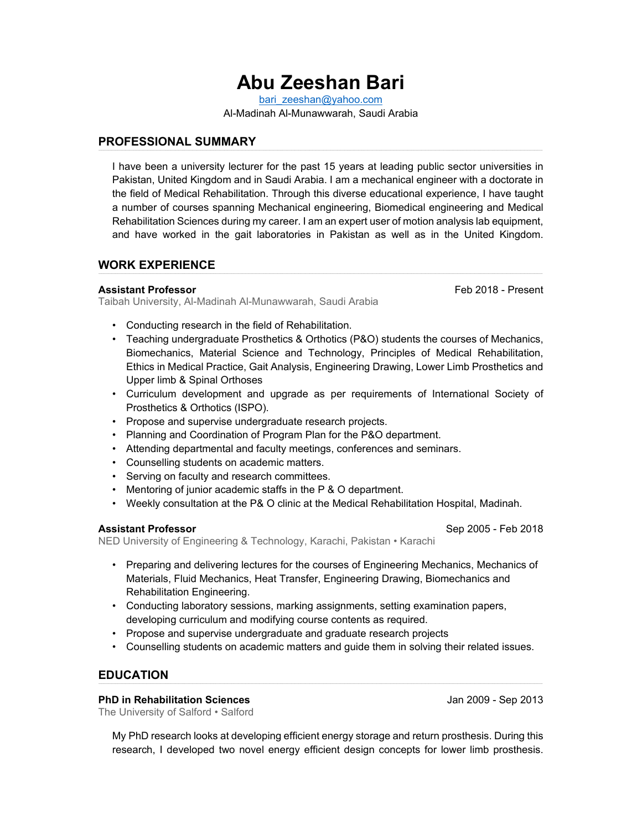# **Abu Zeeshan Bari**

bari zeeshan@yahoo.com Al-Madinah Al-Munawwarah, Saudi Arabia

## **PROFESSIONAL SUMMARY**

I have been a university lecturer for the past 15 years at leading public sector universities in Pakistan, United Kingdom and in Saudi Arabia. I am a mechanical engineer with a doctorate in the field of Medical Rehabilitation. Through this diverse educational experience, I have taught a number of courses spanning Mechanical engineering, Biomedical engineering and Medical Rehabilitation Sciences during my career. I am an expert user of motion analysis lab equipment, and have worked in the gait laboratories in Pakistan as well as in the United Kingdom.

## **WORK EXPERIENCE**

#### **Assistant Professor** Feb 2018 - Present

Taibah University, Al-Madinah Al-Munawwarah, Saudi Arabia

- Conducting research in the field of Rehabilitation.
- Teaching undergraduate Prosthetics & Orthotics (P&O) students the courses of Mechanics, Biomechanics, Material Science and Technology, Principles of Medical Rehabilitation, Ethics in Medical Practice, Gait Analysis, Engineering Drawing, Lower Limb Prosthetics and Upper limb & Spinal Orthoses
- Curriculum development and upgrade as per requirements of International Society of Prosthetics & Orthotics (ISPO).
- Propose and supervise undergraduate research projects.
- Planning and Coordination of Program Plan for the P&O department.
- Attending departmental and faculty meetings, conferences and seminars.
- Counselling students on academic matters.
- Serving on faculty and research committees.
- Mentoring of junior academic staffs in the P & O department.
- Weekly consultation at the P& O clinic at the Medical Rehabilitation Hospital, Madinah.

#### **Assistant Professor** Sep 2005 - Feb 2018

NED University of Engineering & Technology, Karachi, Pakistan • Karachi

- 
- Preparing and delivering lectures for the courses of Engineering Mechanics, Mechanics of Materials, Fluid Mechanics, Heat Transfer, Engineering Drawing, Biomechanics and Rehabilitation Engineering.
- Conducting laboratory sessions, marking assignments, setting examination papers, developing curriculum and modifying course contents as required.
- Propose and supervise undergraduate and graduate research projects
- Counselling students on academic matters and guide them in solving their related issues.

# **EDUCATION**

#### **PhD in Rehabilitation Sciences** Jan 2009 - Sep 2013

The University of Salford • Salford

My PhD research looks at developing efficient energy storage and return prosthesis. During this research, I developed two novel energy efficient design concepts for lower limb prosthesis.